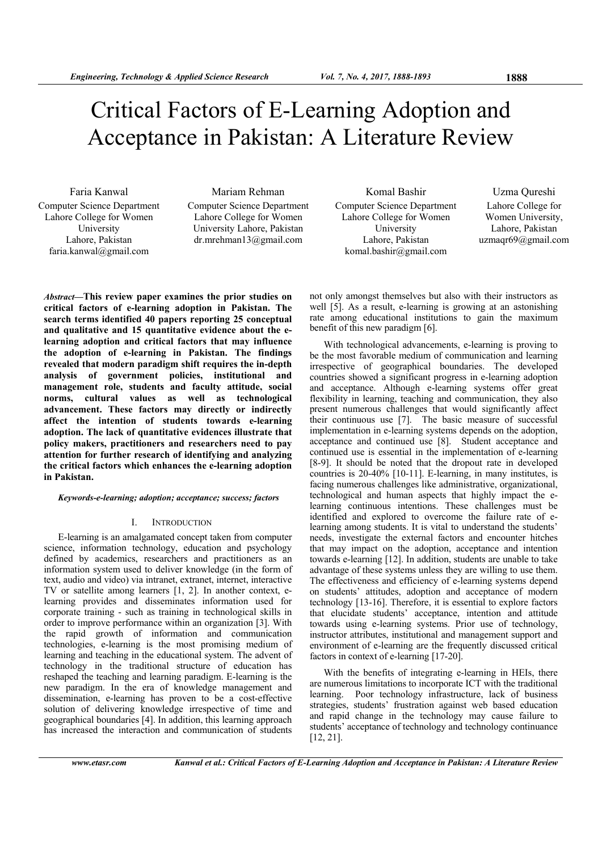# Critical Factors of E-Learning Adoption and Acceptance in Pakistan: A Literature Review

Computer Science Department Lahore College for Women University Lahore, Pakistan faria.kanwal@gmail.com

Computer Science Department Lahore College for Women University Lahore, Pakistan dr.mrehman13@gmail.com

*Abstract***—This review paper examines the prior studies on critical factors of e-learning adoption in Pakistan. The search terms identified 40 papers reporting 25 conceptual and qualitative and 15 quantitative evidence about the elearning adoption and critical factors that may influence the adoption of e-learning in Pakistan. The findings revealed that modern paradigm shift requires the in-depth analysis of government policies, institutional and management role, students and faculty attitude, social norms, cultural values as well as technological advancement. These factors may directly or indirectly affect the intention of students towards e-learning adoption. The lack of quantitative evidences illustrate that policy makers, practitioners and researchers need to pay attention for further research of identifying and analyzing the critical factors which enhances the e-learning adoption in Pakistan.**

## *Keywords-e-learning; adoption; acceptance; success; factors*

#### I. INTRODUCTION

E-learning is an amalgamated concept taken from computer science, information technology, education and psychology defined by academics, researchers and practitioners as an information system used to deliver knowledge (in the form of text, audio and video) via intranet, extranet, internet, interactive TV or satellite among learners [1, 2]. In another context, elearning provides and disseminates information used for corporate training - such as training in technological skills in order to improve performance within an organization [3]. With the rapid growth of information and communication technologies, e-learning is the most promising medium of learning and teaching in the educational system. The advent of technology in the traditional structure of education has reshaped the teaching and learning paradigm. E-learning is the new paradigm. In the era of knowledge management and dissemination, e-learning has proven to be a cost-effective solution of delivering knowledge irrespective of time and geographical boundaries [4]. In addition, this learning approach has increased the interaction and communication of students

Faria Kanwal Mariam Rehman Komal Bashir Uzma Qureshi Computer Science Department Lahore College for Women University Lahore, Pakistan komal.bashir@gmail.com

Lahore College for Women University, Lahore, Pakistan uzmaqr69@gmail.com

not only amongst themselves but also with their instructors as well [5]. As a result, e-learning is growing at an astonishing rate among educational institutions to gain the maximum benefit of this new paradigm [6].

With technological advancements, e-learning is proving to be the most favorable medium of communication and learning irrespective of geographical boundaries. The developed countries showed a significant progress in e-learning adoption and acceptance. Although e-learning systems offer great flexibility in learning, teaching and communication, they also present numerous challenges that would significantly affect their continuous use [7]. The basic measure of successful implementation in e-learning systems depends on the adoption, acceptance and continued use [8]. Student acceptance and continued use is essential in the implementation of e-learning [8-9]. It should be noted that the dropout rate in developed countries is 20-40% [10-11]. E-learning, in many institutes, is facing numerous challenges like administrative, organizational, technological and human aspects that highly impact the elearning continuous intentions. These challenges must be identified and explored to overcome the failure rate of elearning among students. It is vital to understand the students' needs, investigate the external factors and encounter hitches that may impact on the adoption, acceptance and intention towards e-learning [12]. In addition, students are unable to take advantage of these systems unless they are willing to use them. The effectiveness and efficiency of e-learning systems depend on students' attitudes, adoption and acceptance of modern technology [13-16]. Therefore, it is essential to explore factors that elucidate students' acceptance, intention and attitude towards using e-learning systems. Prior use of technology, instructor attributes, institutional and management support and environment of e-learning are the frequently discussed critical factors in context of e-learning [17-20].

With the benefits of integrating e-learning in HEIs, there are numerous limitations to incorporate ICT with the traditional learning. Poor technology infrastructure, lack of business strategies, students' frustration against web based education and rapid change in the technology may cause failure to students' acceptance of technology and technology continuance [12, 21].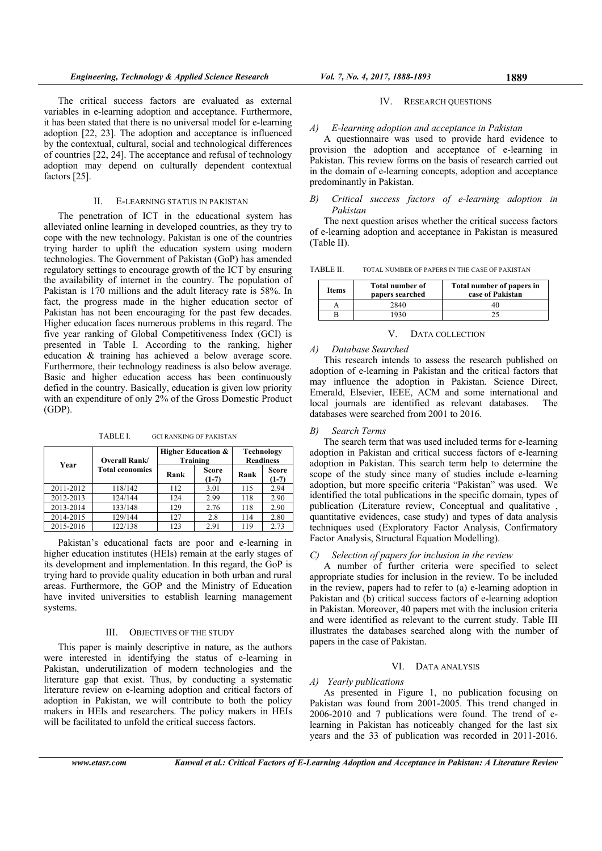IV. RESEARCH QUESTIONS

## *A) E-learning adoption and acceptance in Pakistan*

A questionnaire was used to provide hard evidence to provision the adoption and acceptance of e-learning in Pakistan. This review forms on the basis of research carried out in the domain of e-learning concepts, adoption and acceptance predominantly in Pakistan.

## *B) Critical success factors of e-learning adoption in Pakistan*

The next question arises whether the critical success factors of e-learning adoption and acceptance in Pakistan is measured (Table II).

TABLE II. TOTAL NUMBER OF PAPERS IN THE CASE OF PAKISTAN

| Items | <b>Total number of</b><br>papers searched | Total number of papers in<br>case of Pakistan |
|-------|-------------------------------------------|-----------------------------------------------|
|       | 2840                                      | 40                                            |
|       | .930                                      |                                               |

#### V. DATA COLLECTION

## *A) Database Searched*

This research intends to assess the research published on adoption of e-learning in Pakistan and the critical factors that may influence the adoption in Pakistan. Science Direct, Emerald, Elsevier, IEEE, ACM and some international and local journals are identified as relevant databases. The databases were searched from 2001 to 2016.

#### *B) Search Terms*

The search term that was used included terms for e-learning adoption in Pakistan and critical success factors of e-learning adoption in Pakistan. This search term help to determine the scope of the study since many of studies include e-learning adoption, but more specific criteria "Pakistan" was used. We identified the total publications in the specific domain, types of publication (Literature review, Conceptual and qualitative , quantitative evidences, case study) and types of data analysis techniques used (Exploratory Factor Analysis, Confirmatory Factor Analysis, Structural Equation Modelling).

## *C) Selection of papers for inclusion in the review*

A number of further criteria were specified to select appropriate studies for inclusion in the review. To be included in the review, papers had to refer to (a) e-learning adoption in Pakistan and (b) critical success factors of e-learning adoption in Pakistan. Moreover, 40 papers met with the inclusion criteria and were identified as relevant to the current study. Table III illustrates the databases searched along with the number of papers in the case of Pakistan.

#### VI. DATA ANALYSIS

## *A) Yearly publications*

As presented in Figure 1, no publication focusing on Pakistan was found from 2001-2005. This trend changed in 2006-2010 and 7 publications were found. The trend of elearning in Pakistan has noticeably changed for the last six years and the 33 of publication was recorded in 2011-2016.

The critical success factors are evaluated as external variables in e-learning adoption and acceptance. Furthermore, it has been stated that there is no universal model for e-learning adoption [22, 23]. The adoption and acceptance is influenced by the contextual, cultural, social and technological differences of countries [22, 24]. The acceptance and refusal of technology adoption may depend on culturally dependent contextual factors [25].

## II. E-LEARNING STATUS IN PAKISTAN

The penetration of ICT in the educational system has alleviated online learning in developed countries, as they try to cope with the new technology. Pakistan is one of the countries trying harder to uplift the education system using modern technologies. The Government of Pakistan (GoP) has amended regulatory settings to encourage growth of the ICT by ensuring the availability of internet in the country. The population of Pakistan is 170 millions and the adult literacy rate is 58%. In fact, the progress made in the higher education sector of Pakistan has not been encouraging for the past few decades. Higher education faces numerous problems in this regard. The five year ranking of Global Competitiveness Index (GCI) is presented in Table I. According to the ranking, higher education & training has achieved a below average score. Furthermore, their technology readiness is also below average. Basic and higher education access has been continuously defied in the country. Basically, education is given low priority with an expenditure of only 2% of the Gross Domestic Product (GDP).

TABLE I. GCI RANKING OF PAKISTAN

| Overall Rank/<br>Year |                        |      | <b>Higher Education &amp;</b><br>Training | Technology<br><b>Readiness</b> |                  |
|-----------------------|------------------------|------|-------------------------------------------|--------------------------------|------------------|
|                       | <b>Total economies</b> | Rank | <b>Score</b><br>$(1-7)$                   | Rank                           | Score<br>$(1-7)$ |
| 2011-2012             | 118/142                | 112  | 3.01                                      | 115                            | 2.94             |
| 2012-2013             | 124/144                | 124  | 2.99                                      | 118                            | 2.90             |
| 2013-2014             | 133/148                | 129  | 2.76                                      | 118                            | 2.90             |
| 2014-2015             | 129/144                | 127  | 2.8                                       | 114                            | 2.80             |
| 2015-2016             | 122/138                | 123  | 2.91                                      | 119                            | 2.73             |

Pakistan's educational facts are poor and e-learning in higher education institutes (HEIs) remain at the early stages of its development and implementation. In this regard, the GoP is trying hard to provide quality education in both urban and rural areas. Furthermore, the GOP and the Ministry of Education have invited universities to establish learning management systems.

## III. OBJECTIVES OF THE STUDY

This paper is mainly descriptive in nature, as the authors were interested in identifying the status of e-learning in Pakistan, underutilization of modern technologies and the literature gap that exist. Thus, by conducting a systematic literature review on e-learning adoption and critical factors of adoption in Pakistan, we will contribute to both the policy makers in HEIs and researchers. The policy makers in HEIs will be facilitated to unfold the critical success factors.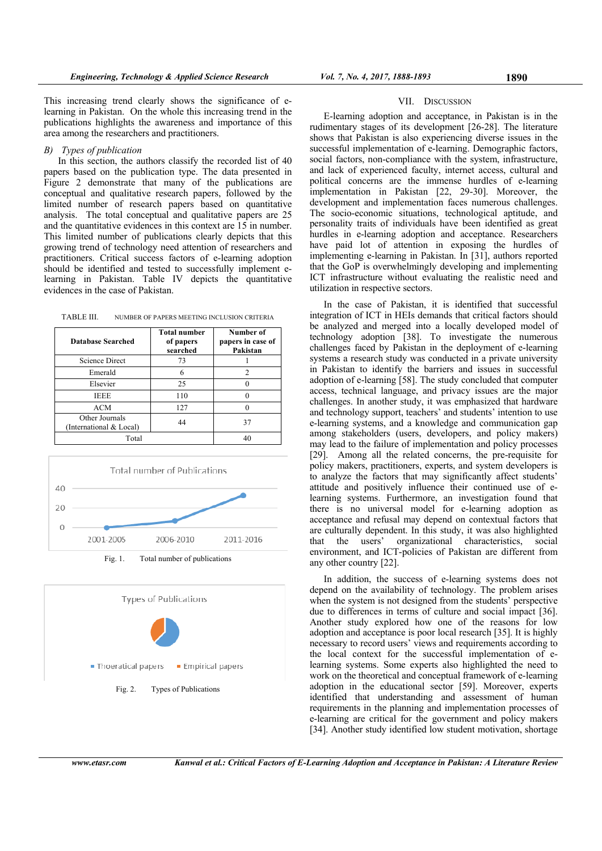This increasing trend clearly shows the significance of elearning in Pakistan. On the whole this increasing trend in the publications highlights the awareness and importance of this area among the researchers and practitioners.

## *B) Types of publication*

In this section, the authors classify the recorded list of 40 papers based on the publication type. The data presented in Figure 2 demonstrate that many of the publications are conceptual and qualitative research papers, followed by the limited number of research papers based on quantitative analysis. The total conceptual and qualitative papers are 25 and the quantitative evidences in this context are 15 in number. This limited number of publications clearly depicts that this growing trend of technology need attention of researchers and practitioners. Critical success factors of e-learning adoption should be identified and tested to successfully implement elearning in Pakistan. Table IV depicts the quantitative evidences in the case of Pakistan.

| TABLE III. |  | NUMBER OF PAPERS MEETING INCLUSION CRITERIA |
|------------|--|---------------------------------------------|
|------------|--|---------------------------------------------|

| <b>Database Searched</b>                  | <b>Total number</b><br>of papers<br>searched | Number of<br>papers in case of<br>Pakistan |
|-------------------------------------------|----------------------------------------------|--------------------------------------------|
| <b>Science Direct</b>                     | 73                                           |                                            |
| Emerald                                   | 6                                            |                                            |
| Elsevier                                  | 25                                           |                                            |
| <b>IEEE</b>                               | 110                                          |                                            |
| <b>ACM</b>                                | 127                                          |                                            |
| Other Journals<br>(International & Local) | 44                                           | 37                                         |
| Total                                     |                                              |                                            |



Fig. 1. Total number of publications



Fig. 2. Types of Publications

## VII. DISCUSSION

E-learning adoption and acceptance, in Pakistan is in the rudimentary stages of its development [26-28]. The literature shows that Pakistan is also experiencing diverse issues in the successful implementation of e-learning. Demographic factors, social factors, non-compliance with the system, infrastructure, and lack of experienced faculty, internet access, cultural and political concerns are the immense hurdles of e-learning implementation in Pakistan [22, 29-30]. Moreover, the development and implementation faces numerous challenges. The socio-economic situations, technological aptitude, and personality traits of individuals have been identified as great hurdles in e-learning adoption and acceptance. Researchers have paid lot of attention in exposing the hurdles of implementing e-learning in Pakistan. In [31], authors reported that the GoP is overwhelmingly developing and implementing ICT infrastructure without evaluating the realistic need and utilization in respective sectors.

In the case of Pakistan, it is identified that successful integration of ICT in HEIs demands that critical factors should be analyzed and merged into a locally developed model of technology adoption [38]. To investigate the numerous challenges faced by Pakistan in the deployment of e-learning systems a research study was conducted in a private university in Pakistan to identify the barriers and issues in successful adoption of e-learning [58]. The study concluded that computer access, technical language, and privacy issues are the major challenges. In another study, it was emphasized that hardware and technology support, teachers' and students' intention to use e-learning systems, and a knowledge and communication gap among stakeholders (users, developers, and policy makers) may lead to the failure of implementation and policy processes [29]. Among all the related concerns, the pre-requisite for policy makers, practitioners, experts, and system developers is to analyze the factors that may significantly affect students' attitude and positively influence their continued use of elearning systems. Furthermore, an investigation found that there is no universal model for e-learning adoption as acceptance and refusal may depend on contextual factors that are culturally dependent. In this study, it was also highlighted that the users' organizational characteristics, social environment, and ICT-policies of Pakistan are different from any other country [22].

In addition, the success of e-learning systems does not depend on the availability of technology. The problem arises when the system is not designed from the students' perspective due to differences in terms of culture and social impact [36]. Another study explored how one of the reasons for low adoption and acceptance is poor local research [35]. It is highly necessary to record users' views and requirements according to the local context for the successful implementation of elearning systems. Some experts also highlighted the need to work on the theoretical and conceptual framework of e-learning adoption in the educational sector [59]. Moreover, experts identified that understanding and assessment of human requirements in the planning and implementation processes of e-learning are critical for the government and policy makers [34]. Another study identified low student motivation, shortage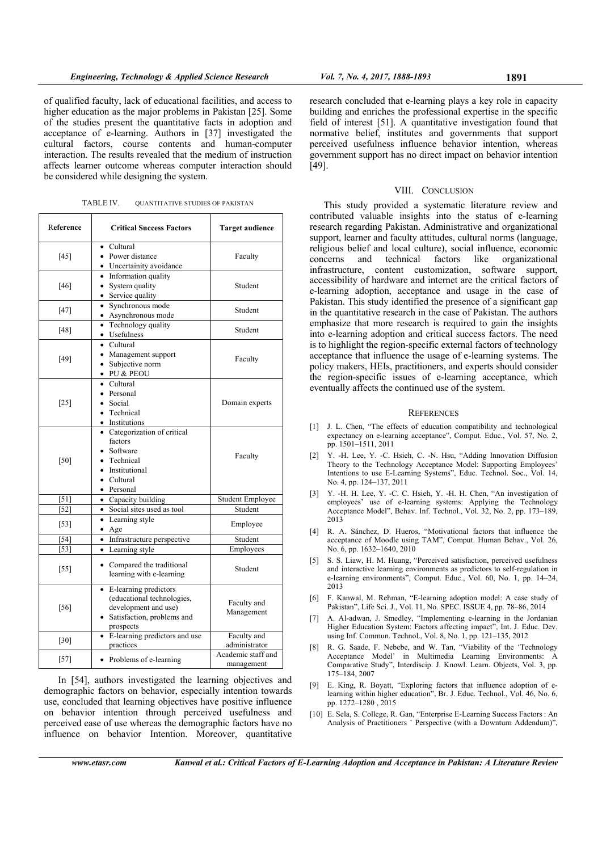of qualified faculty, lack of educational facilities, and access to higher education as the major problems in Pakistan [25]. Some of the studies present the quantitative facts in adoption and acceptance of e-learning. Authors in [37] investigated the cultural factors, course contents and human-computer interaction. The results revealed that the medium of instruction affects learner outcome whereas computer interaction should be considered while designing the system.

TABLE IV. QUANTITATIVE STUDIES OF PAKISTAN

| Reference | <b>Critical Success Factors</b>                                                                                            | <b>Target audience</b>           |
|-----------|----------------------------------------------------------------------------------------------------------------------------|----------------------------------|
| [45]      | • Cultural<br>• Power distance<br>• Uncertainity avoidance                                                                 | Faculty                          |
| [46]      | • Information quality<br>• System quality<br>• Service quality                                                             | Student                          |
| $[47]$    | · Synchronous mode<br>• Asynchronous mode                                                                                  | Student                          |
| $[48]$    | • Technology quality<br>• Usefulness                                                                                       | Student                          |
| $[49]$    | $\bullet$ Cultural<br>• Management support<br>• Subjective norm<br>• PU & PEOU                                             | Faculty                          |
| $[25]$    | • Cultural<br>• Personal<br>• Social<br>• Technical<br>• Institutions                                                      | Domain experts                   |
| [50]      | • Categorization of critical<br>factors<br>• Software<br>• Technical<br>• Institutional<br>• Cultural<br>• Personal        | Faculty                          |
| [51]      | • Capacity building                                                                                                        | Student Employee                 |
| [52]      | • Social sites used as tool                                                                                                | Student                          |
| $[53]$    | • Learning style<br>$\bullet$ Age                                                                                          | Employee                         |
| [54]      | • Infrastructure perspective                                                                                               | Student                          |
| [53]      | • Learning style                                                                                                           | Employees                        |
| $[55]$    | • Compared the traditional<br>learning with e-learning                                                                     | Student                          |
| $[56]$    | • E-learning predictors<br>(educational technologies,<br>development and use)<br>• Satisfaction, problems and<br>prospects | Faculty and<br>Management        |
| $[30]$    | • E-learning predictors and use<br>practices                                                                               | Faculty and<br>administrator     |
| $[57]$    | • Problems of e-learning                                                                                                   | Academic staff and<br>management |

In [54], authors investigated the learning objectives and demographic factors on behavior, especially intention towards use, concluded that learning objectives have positive influence on behavior intention through perceived usefulness and perceived ease of use whereas the demographic factors have no influence on behavior Intention. Moreover, quantitative

research concluded that e-learning plays a key role in capacity building and enriches the professional expertise in the specific field of interest [51]. A quantitative investigation found that normative belief, institutes and governments that support perceived usefulness influence behavior intention, whereas government support has no direct impact on behavior intention [49].

#### VIII. CONCLUSION

This study provided a systematic literature review and contributed valuable insights into the status of e-learning research regarding Pakistan. Administrative and organizational support, learner and faculty attitudes, cultural norms (language, religious belief and local culture), social influence, economic concerns and technical factors like organizational infrastructure, content customization, software support, accessibility of hardware and internet are the critical factors of e-learning adoption, acceptance and usage in the case of Pakistan. This study identified the presence of a significant gap in the quantitative research in the case of Pakistan. The authors emphasize that more research is required to gain the insights into e-learning adoption and critical success factors. The need is to highlight the region-specific external factors of technology acceptance that influence the usage of e-learning systems. The policy makers, HEIs, practitioners, and experts should consider the region-specific issues of e-learning acceptance, which eventually affects the continued use of the system.

#### **REFERENCES**

- [1] J. L. Chen, "The effects of education compatibility and technological expectancy on e-learning acceptance", Comput. Educ., Vol. 57, No. 2, pp. 1501–1511, 2011
- [2] Y. -H. Lee, Y. -C. Hsieh, C. -N. Hsu, "Adding Innovation Diffusion Theory to the Technology Acceptance Model: Supporting Employees' Intentions to use E-Learning Systems", Educ. Technol. Soc., Vol. 14, No. 4, pp. 124–137, 2011
- [3] Y. -H. H. Lee, Y. -C. C. Hsieh, Y. -H. H. Chen, "An investigation of employees' use of e-learning systems: Applying the Technology Acceptance Model", Behav. Inf. Technol., Vol. 32, No. 2, pp. 173–189, 2013
- [4] R. A. Sánchez, D. Hueros, "Motivational factors that influence the acceptance of Moodle using TAM", Comput. Human Behav., Vol. 26, No. 6, pp. 1632–1640, 2010
- [5] S. S. Liaw, H. M. Huang, "Perceived satisfaction, perceived usefulness and interactive learning environments as predictors to self-regulation in e-learning environments", Comput. Educ., Vol. 60, No. 1, pp. 14–24, 2013
- [6] F. Kanwal, M. Rehman, "E-learning adoption model: A case study of Pakistan", Life Sci. J., Vol. 11, No. SPEC. ISSUE 4, pp. 78–86, 2014
- [7] A. Al-adwan, J. Smedley, "Implementing e-learning in the Jordanian Higher Education System: Factors affecting impact", Int. J. Educ. Dev. using Inf. Commun. Technol., Vol. 8, No. 1, pp. 121–135, 2012
- [8] R. G. Saade, F. Nebebe, and W. Tan, "Viability of the 'Technology Acceptance Model' in Multimedia Learning Environments: A Comparative Study", Interdiscip. J. Knowl. Learn. Objects, Vol. 3, pp. 175–184, 2007
- [9] E. King, R. Boyatt, "Exploring factors that influence adoption of elearning within higher education", Br. J. Educ. Technol., Vol. 46, No. 6, pp. 1272–1280 , 2015
- [10] E. Sela, S. College, R. Gan, "Enterprise E-Learning Success Factors : An Analysis of Practitioners ' Perspective (with a Downturn Addendum)",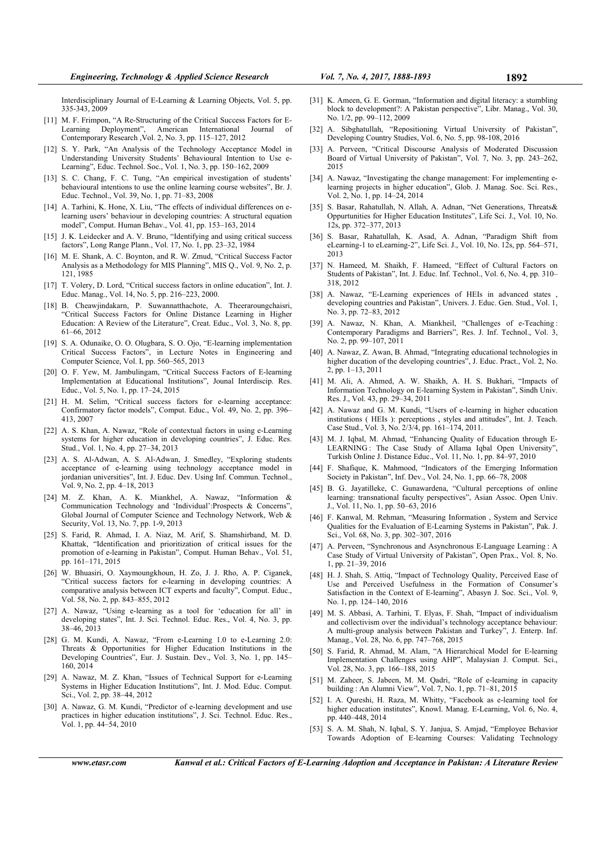Interdisciplinary Journal of E-Learning & Learning Objects, Vol. 5, pp. 335-343, 2009

- [11] M. F. Frimpon, "A Re-Structuring of the Critical Success Factors for E-Learning Deployment", American International Journal of Contemporary Research ,Vol. 2, No. 3, pp. 115–127, 2012
- [12] S. Y. Park, "An Analysis of the Technology Acceptance Model in Understanding University Students' Behavioural Intention to Use e-Learning", Educ. Technol. Soc., Vol. 1, No. 3, pp. 150–162, 2009
- [13] S. C. Chang, F. C. Tung, "An empirical investigation of students' behavioural intentions to use the online learning course websites", Br. J. Educ. Technol., Vol. 39, No. 1, pp. 71–83, 2008
- [14] A. Tarhini, K. Hone, X. Liu, "The effects of individual differences on elearning users' behaviour in developing countries: A structural equation model", Comput. Human Behav., Vol. 41, pp. 153–163, 2014
- [15] J. K. Leidecker and A. V. Bruno, "Identifying and using critical success factors", Long Range Plann., Vol. 17, No. 1, pp. 23–32, 1984
- [16] M. E. Shank, A. C. Boynton, and R. W. Zmud, "Critical Success Factor Analysis as a Methodology for MIS Planning", MIS Q., Vol. 9, No. 2, p. 121, 1985
- [17] T. Volery, D. Lord, "Critical success factors in online education", Int. J. Educ. Manag., Vol. 14, No. 5, pp. 216–223, 2000.
- [18] B. Cheawjindakarn, P. Suwannatthachote, A. Theeraroungchaisri, "Critical Success Factors for Online Distance Learning in Higher Education: A Review of the Literature", Creat. Educ., Vol. 3, No. 8, pp. 61–66, 2012
- [19] S. A. Odunaike, O. O. Olugbara, S. O. Ojo, "E-learning implementation Critical Success Factors", in Lecture Notes in Engineering and Computer Science, Vol. I, pp. 560–565, 2013
- [20] O. F. Yew, M. Jambulingam, "Critical Success Factors of E-learning Implementation at Educational Institutions", Jounal Interdiscip. Res. Educ., Vol. 5, No. 1, pp. 17–24, 2015
- [21] H. M. Selim, "Critical success factors for e-learning acceptance: Confirmatory factor models", Comput. Educ., Vol. 49, No. 2, pp. 396– 413, 2007
- [22] A. S. Khan, A. Nawaz, "Role of contextual factors in using e-Learning systems for higher education in developing countries", J. Educ. Res. Stud., Vol. 1, No. 4, pp. 27–34, 2013
- [23] A. S. Al-Adwan, A. S. Al-Adwan, J. Smedley, "Exploring students acceptance of e-learning using technology acceptance model in jordanian universities", Int. J. Educ. Dev. Using Inf. Commun. Technol., Vol. 9, No. 2, pp. 4–18, 2013
- [24] M. Z. Khan, A. K. Miankhel, A. Nawaz, "Information & Communication Technology and 'Individual':Prospects & Concerns", Global Journal of Computer Science and Technology Network, Web & Security, Vol. 13, No. 7, pp. 1-9, 2013
- [25] S. Farid, R. Ahmad, I. A. Niaz, M. Arif, S. Shamshirband, M. D. Khattak, "Identification and prioritization of critical issues for the promotion of e-learning in Pakistan", Comput. Human Behav., Vol. 51, pp. 161–171, 2015
- [26] W. Bhuasiri, O. Xaymoungkhoun, H. Zo, J. J. Rho, A. P. Ciganek, "Critical success factors for e-learning in developing countries: A comparative analysis between ICT experts and faculty", Comput. Educ., Vol. 58, No. 2, pp. 843–855, 2012
- [27] A. Nawaz, "Using e-learning as a tool for 'education for all' in developing states", Int. J. Sci. Technol. Educ. Res., Vol. 4, No. 3, pp. 38–46, 2013
- [28] G. M. Kundi, A. Nawaz, "From e-Learning 1.0 to e-Learning 2.0: Threats & Opportunities for Higher Education Institutions in the Developing Countries", Eur. J. Sustain. Dev., Vol. 3, No. 1, pp. 145– 160, 2014
- [29] A. Nawaz, M. Z. Khan, "Issues of Technical Support for e-Learning Systems in Higher Education Institutions", Int. J. Mod. Educ. Comput. Sci., Vol. 2, pp. 38–44, 2012
- [30] A. Nawaz, G. M. Kundi, "Predictor of e-learning development and use practices in higher education institutions", J. Sci. Technol. Educ. Res., Vol. 1, pp. 44–54, 2010
- [31] K. Ameen, G. E. Gorman, "Information and digital literacy: a stumbling block to development?: A Pakistan perspective", Libr. Manag., Vol. 30, No. 1/2, pp. 99–112, 2009
- [32] A. Sibghatullah, "Repositioning Virtual University of Pakistan", Developing Country Studies, Vol. 6, No. 5, pp. 98-108, 2016
- [33] A. Perveen, "Critical Discourse Analysis of Moderated Discussion Board of Virtual University of Pakistan", Vol. 7, No. 3, pp. 243–262, 2015
- [34] A. Nawaz, "Investigating the change management: For implementing elearning projects in higher education", Glob. J. Manag. Soc. Sci. Res., Vol. 2, No. 1, pp. 14–24, 2014
- [35] S. Basar, Rahatullah, N. Allah, A. Adnan, "Net Generations, Threats & Oppurtunities for Higher Education Institutes", Life Sci. J., Vol. 10, No. 12s, pp. 372–377, 2013
- [36] S. Basar, Rahatullah, K. Asad, A. Adnan, "Paradigm Shift from eLearning-1 to eLearning-2", Life Sci. J., Vol. 10, No. 12s, pp. 564–571, 2013
- [37] N. Hameed, M. Shaikh, F. Hameed, "Effect of Cultural Factors on Students of Pakistan", Int. J. Educ. Inf. Technol., Vol. 6, No. 4, pp. 310– 318, 2012
- [38] A. Nawaz, "E-Learning experiences of HEIs in advanced states developing countries and Pakistan", Univers. J. Educ. Gen. Stud., Vol. 1, No. 3, pp. 72–83, 2012
- [39] A. Nawaz, N. Khan, A. Miankheil, "Challenges of e-Teaching: Contemporary Paradigms and Barriers", Res. J. Inf. Technol., Vol. 3, No. 2, pp. 99–107, 2011
- [40] A. Nawaz, Z. Awan, B. Ahmad, "Integrating educational technologies in higher ducation of the developing countries", J. Educ. Pract., Vol. 2, No. 2, pp. 1–13, 2011
- [41] M. Ali, A. Ahmed, A. W. Shaikh, A. H. S. Bukhari, "Impacts of Information Technology on E-learning System in Pakistan", Sindh Univ. Res. J., Vol. 43, pp. 29–34, 2011
- [42] A. Nawaz and G. M. Kundi, "Users of e-learning in higher education institutions ( HEIs ): perceptions , styles and attitudes", Int. J. Teach. Case Stud., Vol. 3, No. 2/3/4, pp. 161–174, 2011.
- [43] M. J. Iqbal, M. Ahmad, "Enhancing Quality of Education through E-LEARNING: The Case Study of Allama Iqbal Open University", Turkish Online J. Distance Educ., Vol. 11, No. 1, pp. 84–97, 2010
- [44] F. Shafique, K. Mahmood, "Indicators of the Emerging Information Society in Pakistan", Inf. Dev., Vol. 24, No. 1, pp. 66–78, 2008
- [45] B. G. Jayatilleke, C. Gunawardena, "Cultural perceptions of online learning: transnational faculty perspectives", Asian Assoc. Open Univ. J., Vol. 11, No. 1, pp. 50–63, 2016
- [46] F. Kanwal, M. Rehman, "Measuring Information , System and Service Qualities for the Evaluation of E-Learning Systems in Pakistan", Pak. J. Sci., Vol. 68, No. 3, pp. 302–307, 2016
- [47] A. Perveen, "Synchronous and Asynchronous E-Language Learning : A Case Study of Virtual University of Pakistan", Open Prax., Vol. 8, No. 1, pp. 21–39, 2016
- [48] H. J. Shah, S. Attiq, "Impact of Technology Quality, Perceived Ease of Use and Perceived Usefulness in the Formation of Consumer's Satisfaction in the Context of E-learning", Abasyn J. Soc. Sci., Vol. 9, No. 1, pp. 124–140, 2016
- [49] M. S. Abbasi, A. Tarhini, T. Elyas, F. Shah, "Impact of individualism and collectivism over the individual's technology acceptance behaviour: A multi-group analysis between Pakistan and Turkey", J. Enterp. Inf. Manag., Vol. 28, No. 6, pp. 747–768, 2015
- [50] S. Farid, R. Ahmad, M. Alam, "A Hierarchical Model for E-learning Implementation Challenges using AHP", Malaysian J. Comput. Sci., Vol. 28, No. 3, pp. 166–188, 2015
- [51] M. Zaheer, S. Jabeen, M. M. Qadri, "Role of e-learning in capacity building : An Alumni View", Vol. 7, No. 1, pp. 71–81, 2015
- [52] I. A. Qureshi, H. Raza, M. Whitty, "Facebook as e-learning tool for higher education institutes", Knowl. Manag. E-Learning, Vol. 6, No. 4, pp. 440–448, 2014
- [53] S. A. M. Shah, N. Iqbal, S. Y. Janjua, S. Amjad, "Employee Behavior Towards Adoption of E-learning Courses: Validating Technology